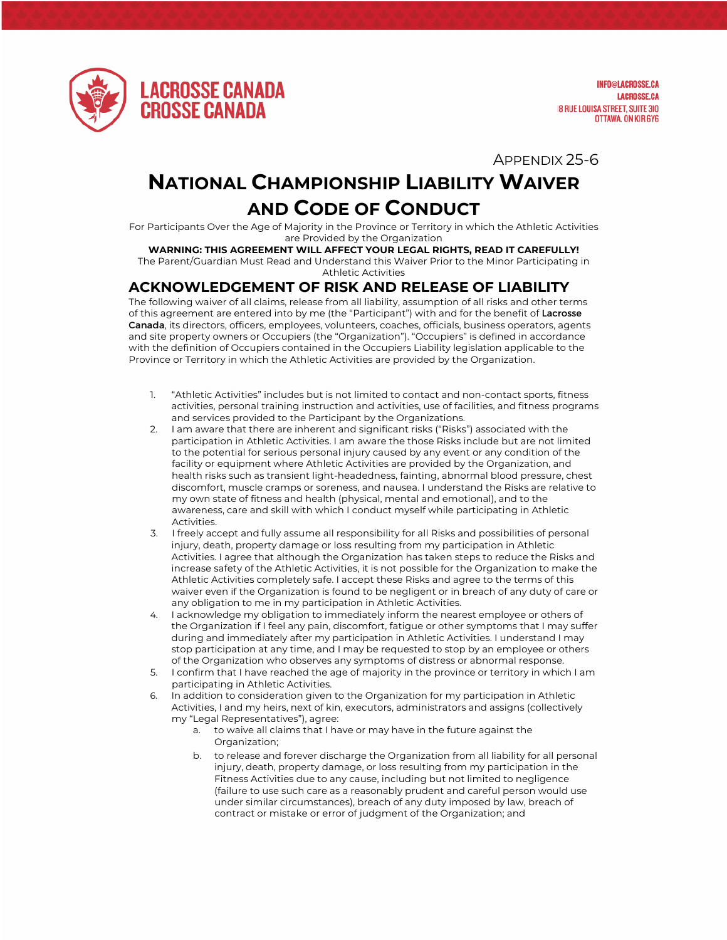

**INFO@LACROSSE.CA LACROSSE.CA 18 RUE LOUISA STREET, SUITE 310** OTTAWA, ON KIR 6Y6

APPENDIX 25-6

## **NATIONAL CHAMPIONSHIP LIABILITY WAIVER AND CODE OF CONDUCT**

For Participants Over the Age of Majority in the Province or Territory in which the Athletic Activities are Provided by the Organization

## **WARNING: THIS AGREEMENT WILL AFFECT YOUR LEGAL RIGHTS, READ IT CAREFULLY!**

The Parent/Guardian Must Read and Understand this Waiver Prior to the Minor Participating in Athletic Activities

## **ACKNOWLEDGEMENT OF RISK AND RELEASE OF LIABILITY**

The following waiver of all claims, release from all liability, assumption of all risks and other terms of this agreement are entered into by me (the "Participant") with and for the benefit of Lacrosse Canada, its directors, officers, employees, volunteers, coaches, officials, business operators, agents and site property owners or Occupiers (the "Organization"). "Occupiers" is defined in accordance with the definition of Occupiers contained in the Occupiers Liability legislation applicable to the Province or Territory in which the Athletic Activities are provided by the Organization.

- 1. "Athletic Activities" includes but is not limited to contact and non-contact sports, fitness activities, personal training instruction and activities, use of facilities, and fitness programs and services provided to the Participant by the Organizations.
- 2. I am aware that there are inherent and significant risks ("Risks") associated with the participation in Athletic Activities. I am aware the those Risks include but are not limited to the potential for serious personal injury caused by any event or any condition of the facility or equipment where Athletic Activities are provided by the Organization, and health risks such as transient light-headedness, fainting, abnormal blood pressure, chest discomfort, muscle cramps or soreness, and nausea. I understand the Risks are relative to my own state of fitness and health (physical, mental and emotional), and to the awareness, care and skill with which I conduct myself while participating in Athletic **Activities**
- 3. I freely accept and fully assume all responsibility for all Risks and possibilities of personal injury, death, property damage or loss resulting from my participation in Athletic Activities. I agree that although the Organization has taken steps to reduce the Risks and increase safety of the Athletic Activities, it is not possible for the Organization to make the Athletic Activities completely safe. I accept these Risks and agree to the terms of this waiver even if the Organization is found to be negligent or in breach of any duty of care or any obligation to me in my participation in Athletic Activities.
- 4. I acknowledge my obligation to immediately inform the nearest employee or others of the Organization if I feel any pain, discomfort, fatigue or other symptoms that I may suffer during and immediately after my participation in Athletic Activities. I understand I may stop participation at any time, and I may be requested to stop by an employee or others of the Organization who observes any symptoms of distress or abnormal response.
- 5. I confirm that I have reached the age of majority in the province or territory in which I am participating in Athletic Activities.
- 6. In addition to consideration given to the Organization for my participation in Athletic Activities, I and my heirs, next of kin, executors, administrators and assigns (collectively my "Legal Representatives"), agree:
	- a. to waive all claims that I have or may have in the future against the Organization;
	- b. to release and forever discharge the Organization from all liability for all personal injury, death, property damage, or loss resulting from my participation in the Fitness Activities due to any cause, including but not limited to negligence (failure to use such care as a reasonably prudent and careful person would use under similar circumstances), breach of any duty imposed by law, breach of contract or mistake or error of judgment of the Organization; and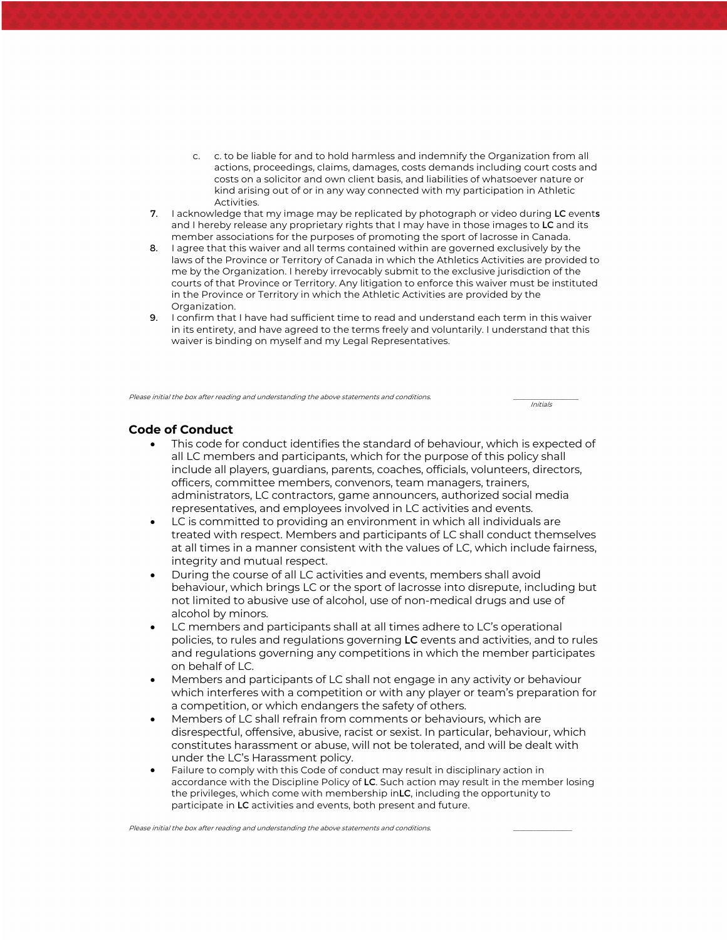- c. c. to be liable for and to hold harmless and indemnify the Organization from all actions, proceedings, claims, damages, costs demands including court costs and costs on a solicitor and own client basis, and liabilities of whatsoever nature or kind arising out of or in any way connected with my participation in Athletic Activities.
- 7. I acknowledge that my image may be replicated by photograph or video during LC events and I hereby release any proprietary rights that I may have in those images to LC and its member associations for the purposes of promoting the sport of lacrosse in Canada.
- 8. I agree that this waiver and all terms contained within are governed exclusively by the laws of the Province or Territory of Canada in which the Athletics Activities are provided to me by the Organization. I hereby irrevocably submit to the exclusive jurisdiction of the courts of that Province or Territory. Any litigation to enforce this waiver must be instituted in the Province or Territory in which the Athletic Activities are provided by the Organization.
- 9. I confirm that I have had sufficient time to read and understand each term in this waiver in its entirety, and have agreed to the terms freely and voluntarily. I understand that this waiver is binding on myself and my Legal Representatives.

Please initial the box after reading and understanding the above statements and conditions.

Initials

## **Code of Conduct**

- This code for conduct identifies the standard of behaviour, which is expected of all LC members and participants, which for the purpose of this policy shall include all players, guardians, parents, coaches, officials, volunteers, directors, officers, committee members, convenors, team managers, trainers, administrators, LC contractors, game announcers, authorized social media representatives, and employees involved in LC activities and events.
- LC is committed to providing an environment in which all individuals are treated with respect. Members and participants of LC shall conduct themselves at all times in a manner consistent with the values of LC, which include fairness, integrity and mutual respect.
- During the course of all LC activities and events, members shall avoid behaviour, which brings LC or the sport of lacrosse into disrepute, including but not limited to abusive use of alcohol, use of non-medical drugs and use of alcohol by minors.
- LC members and participants shall at all times adhere to LC's operational policies, to rules and regulations governing LC events and activities, and to rules and regulations governing any competitions in which the member participates on behalf of LC.
- Members and participants of LC shall not engage in any activity or behaviour which interferes with a competition or with any player or team's preparation for a competition, or which endangers the safety of others.
- Members of LC shall refrain from comments or behaviours, which are disrespectful, offensive, abusive, racist or sexist. In particular, behaviour, which constitutes harassment or abuse, will not be tolerated, and will be dealt with under the LC's Harassment policy.
- Failure to comply with this Code of conduct may result in disciplinary action in accordance with the Discipline Policy of LC. Such action may result in the member losing the privileges, which come with membership inLC, including the opportunity to participate in LC activities and events, both present and future.

Please initial the box after reading and understanding the above statements and conditions.